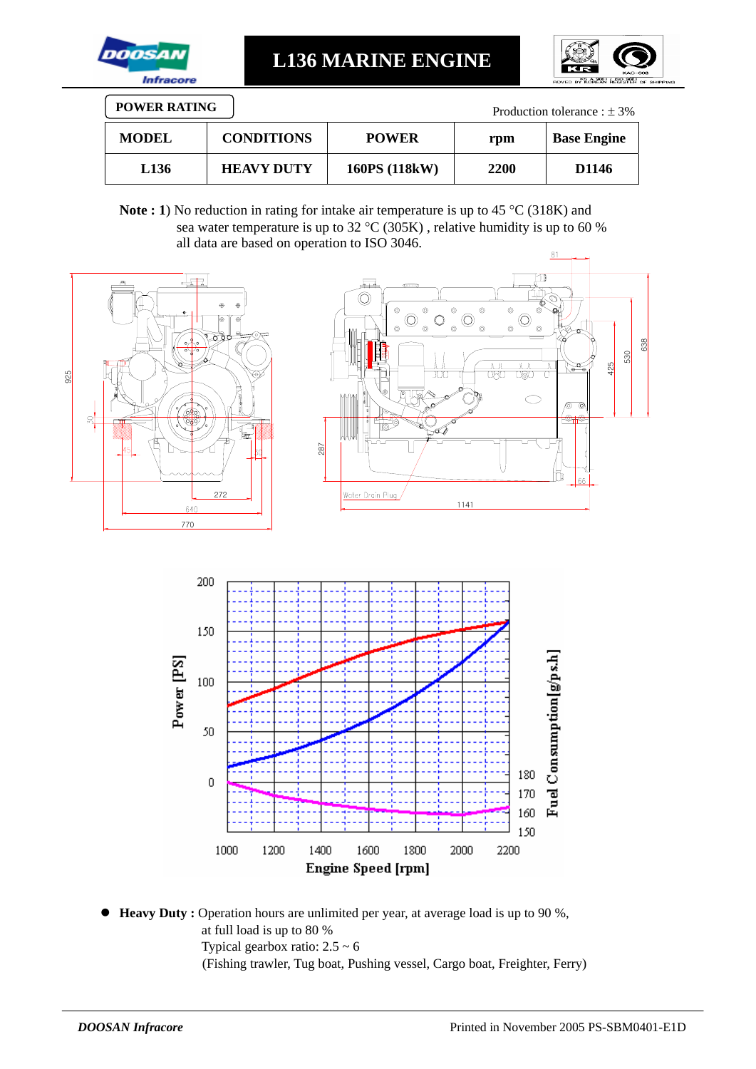

**L136 MARINE ENGINE** 



| <b>POWER RATING</b><br>Production tolerance : $\pm$ 3% |                   |               |             |                    |  |
|--------------------------------------------------------|-------------------|---------------|-------------|--------------------|--|
| <b>MODEL</b>                                           | <b>CONDITIONS</b> | <b>POWER</b>  | rpm         | <b>Base Engine</b> |  |
| L <sub>136</sub>                                       | <b>HEAVY DUTY</b> | 160PS (118kW) | <b>2200</b> | D <sub>1146</sub>  |  |

Note : 1) No reduction in rating for intake air temperature is up to 45 °C (318K) and sea water temperature is up to 32 °C (305K) , relative humidity is up to 60 % all data are based on operation to ISO 3046.



● **Heavy Duty** : Operation hours are unlimited per year, at average load is up to 90 %, at full load is up to 80 % Typical gearbox ratio:  $2.5 \sim 6$ (Fishing trawler, Tug boat, Pushing vessel, Cargo boat, Freighter, Ferry)